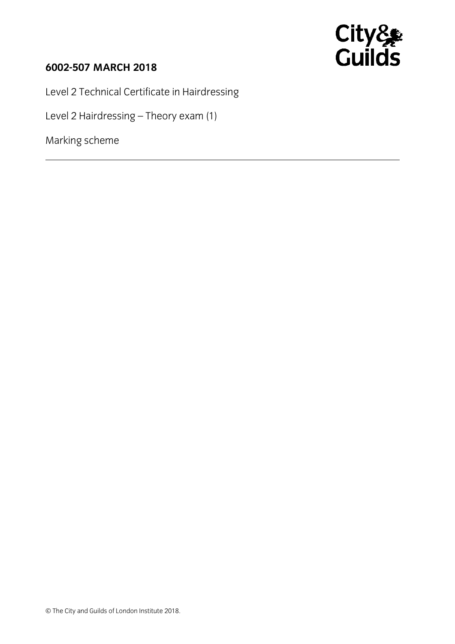

## **6002-507 MARCH 2018**

Level 2 Technical Certificate in Hairdressing

Level 2 Hairdressing – Theory exam (1)

Marking scheme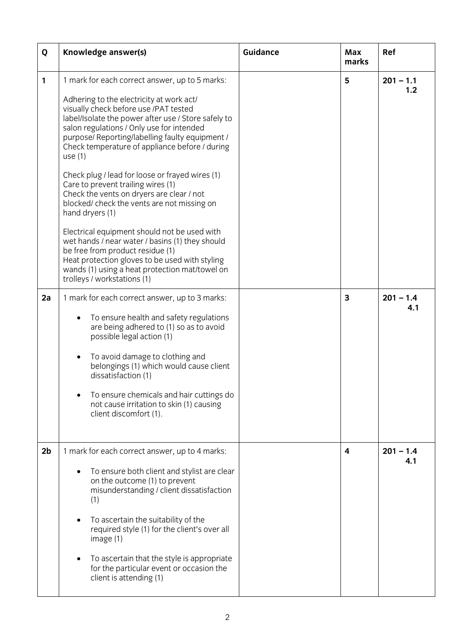| Q              | Knowledge answer(s)                                                                                                                                                                                                                                                                                                                                                                                                                                                                                                                                                                                                                                                                                                                                                                                                                         | <b>Guidance</b> | Max<br>marks | Ref                |
|----------------|---------------------------------------------------------------------------------------------------------------------------------------------------------------------------------------------------------------------------------------------------------------------------------------------------------------------------------------------------------------------------------------------------------------------------------------------------------------------------------------------------------------------------------------------------------------------------------------------------------------------------------------------------------------------------------------------------------------------------------------------------------------------------------------------------------------------------------------------|-----------------|--------------|--------------------|
| 1              | 1 mark for each correct answer, up to 5 marks:<br>Adhering to the electricity at work act/<br>visually check before use /PAT tested<br>label/Isolate the power after use / Store safely to<br>salon regulations / Only use for intended<br>purpose/ Reporting/labelling faulty equipment /<br>Check temperature of appliance before / during<br>use $(1)$<br>Check plug / lead for loose or frayed wires (1)<br>Care to prevent trailing wires (1)<br>Check the vents on dryers are clear / not<br>blocked/ check the vents are not missing on<br>hand dryers (1)<br>Electrical equipment should not be used with<br>wet hands / near water / basins (1) they should<br>be free from product residue (1)<br>Heat protection gloves to be used with styling<br>wands (1) using a heat protection mat/towel on<br>trolleys / workstations (1) |                 | 5            | $201 - 1.1$<br>1.2 |
| 2a             | 1 mark for each correct answer, up to 3 marks:<br>To ensure health and safety regulations<br>are being adhered to (1) so as to avoid<br>possible legal action (1)<br>To avoid damage to clothing and<br>belongings (1) which would cause client<br>dissatisfaction (1)<br>To ensure chemicals and hair cuttings do<br>not cause irritation to skin (1) causing<br>client discomfort (1).                                                                                                                                                                                                                                                                                                                                                                                                                                                    |                 | 3            | $201 - 1.4$<br>4.1 |
| 2 <sub>b</sub> | 1 mark for each correct answer, up to 4 marks:<br>To ensure both client and stylist are clear<br>on the outcome (1) to prevent<br>misunderstanding / client dissatisfaction<br>(1)<br>To ascertain the suitability of the<br>required style (1) for the client's over all<br>image(1)<br>To ascertain that the style is appropriate<br>for the particular event or occasion the<br>client is attending (1)                                                                                                                                                                                                                                                                                                                                                                                                                                  |                 | 4            | $201 - 1.4$<br>4.1 |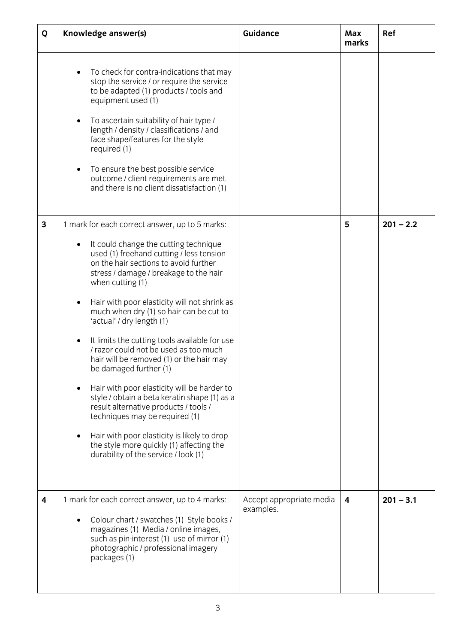| Q                       | Knowledge answer(s)                                                                                                                                                                                                                                                                                                                                                                                                                                                                                                                                                                                                                                                                                                                                                                                                                             | Guidance                              | Max<br>marks | Ref         |
|-------------------------|-------------------------------------------------------------------------------------------------------------------------------------------------------------------------------------------------------------------------------------------------------------------------------------------------------------------------------------------------------------------------------------------------------------------------------------------------------------------------------------------------------------------------------------------------------------------------------------------------------------------------------------------------------------------------------------------------------------------------------------------------------------------------------------------------------------------------------------------------|---------------------------------------|--------------|-------------|
|                         | To check for contra-indications that may<br>stop the service / or require the service<br>to be adapted (1) products / tools and<br>equipment used (1)<br>To ascertain suitability of hair type /<br>length / density / classifications / and<br>face shape/features for the style<br>required (1)<br>To ensure the best possible service<br>outcome / client requirements are met<br>and there is no client dissatisfaction (1)                                                                                                                                                                                                                                                                                                                                                                                                                 |                                       |              |             |
| $\mathbf{3}$            | 1 mark for each correct answer, up to 5 marks:<br>It could change the cutting technique<br>used (1) freehand cutting / less tension<br>on the hair sections to avoid further<br>stress / damage / breakage to the hair<br>when cutting (1)<br>Hair with poor elasticity will not shrink as<br>much when dry (1) so hair can be cut to<br>'actual' / dry length (1)<br>It limits the cutting tools available for use<br>I razor could not be used as too much<br>hair will be removed (1) or the hair may<br>be damaged further (1)<br>Hair with poor elasticity will be harder to<br>style / obtain a beta keratin shape (1) as a<br>result alternative products / tools /<br>techniques may be required (1)<br>Hair with poor elasticity is likely to drop<br>the style more quickly (1) affecting the<br>durability of the service / look (1) |                                       | 5            | $201 - 2.2$ |
| $\overline{\mathbf{4}}$ | 1 mark for each correct answer, up to 4 marks:<br>Colour chart / swatches (1) Style books /<br>magazines (1) Media / online images,<br>such as pin-interest (1) use of mirror (1)<br>photographic / professional imagery<br>packages (1)                                                                                                                                                                                                                                                                                                                                                                                                                                                                                                                                                                                                        | Accept appropriate media<br>examples. | 4            | $201 - 3.1$ |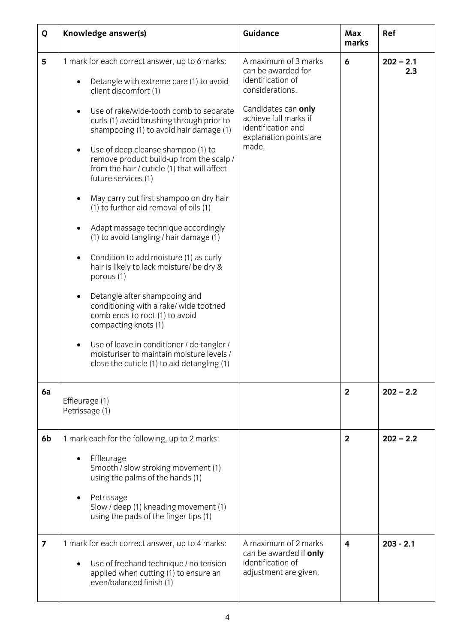| Q  | Knowledge answer(s)                                                                                                                                                                                                                                                                                                                                                                                                                                                                                                                                                                                                                                                                                                                                                                                                                                                                                                                                                                                 | Guidance                                                                                                                                                                                    | Max<br>marks   | Ref                |
|----|-----------------------------------------------------------------------------------------------------------------------------------------------------------------------------------------------------------------------------------------------------------------------------------------------------------------------------------------------------------------------------------------------------------------------------------------------------------------------------------------------------------------------------------------------------------------------------------------------------------------------------------------------------------------------------------------------------------------------------------------------------------------------------------------------------------------------------------------------------------------------------------------------------------------------------------------------------------------------------------------------------|---------------------------------------------------------------------------------------------------------------------------------------------------------------------------------------------|----------------|--------------------|
| 5  | 1 mark for each correct answer, up to 6 marks:<br>Detangle with extreme care (1) to avoid<br>client discomfort (1)<br>Use of rake/wide-tooth comb to separate<br>$\bullet$<br>curls (1) avoid brushing through prior to<br>shampooing (1) to avoid hair damage (1)<br>Use of deep cleanse shampoo (1) to<br>$\bullet$<br>remove product build-up from the scalp /<br>from the hair / cuticle (1) that will affect<br>future services (1)<br>May carry out first shampoo on dry hair<br>(1) to further aid removal of oils (1)<br>Adapt massage technique accordingly<br>(1) to avoid tangling / hair damage (1)<br>Condition to add moisture (1) as curly<br>hair is likely to lack moisture/ be dry &<br>porous (1)<br>Detangle after shampooing and<br>conditioning with a rake/ wide toothed<br>comb ends to root (1) to avoid<br>compacting knots (1)<br>Use of leave in conditioner / de-tangler /<br>moisturiser to maintain moisture levels /<br>close the cuticle (1) to aid detangling (1) | A maximum of 3 marks<br>can be awarded for<br>identification of<br>considerations.<br>Candidates can only<br>achieve full marks if<br>identification and<br>explanation points are<br>made. | 6              | $202 - 2.1$<br>2.3 |
| 6a | Effleurage (1)<br>Petrissage (1)                                                                                                                                                                                                                                                                                                                                                                                                                                                                                                                                                                                                                                                                                                                                                                                                                                                                                                                                                                    |                                                                                                                                                                                             | $\overline{2}$ | $202 - 2.2$        |
| 6b | 1 mark each for the following, up to 2 marks:<br>Effleurage<br>Smooth / slow stroking movement (1)<br>using the palms of the hands (1)<br>Petrissage<br>Slow / deep (1) kneading movement (1)<br>using the pads of the finger tips (1)                                                                                                                                                                                                                                                                                                                                                                                                                                                                                                                                                                                                                                                                                                                                                              |                                                                                                                                                                                             | $\mathbf{2}$   | $202 - 2.2$        |
| 7  | 1 mark for each correct answer, up to 4 marks:<br>Use of freehand technique / no tension<br>applied when cutting (1) to ensure an<br>even/balanced finish (1)                                                                                                                                                                                                                                                                                                                                                                                                                                                                                                                                                                                                                                                                                                                                                                                                                                       | A maximum of 2 marks<br>can be awarded if only<br>identification of<br>adjustment are given.                                                                                                | 4              | $203 - 2.1$        |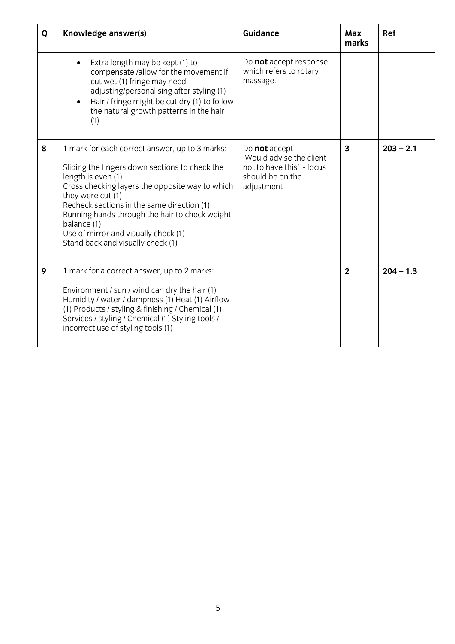| Q | Knowledge answer(s)                                                                                                                                                                                                                                                                                                                                                                        | <b>Guidance</b>                                                                                          | <b>Max</b><br>marks | Ref         |
|---|--------------------------------------------------------------------------------------------------------------------------------------------------------------------------------------------------------------------------------------------------------------------------------------------------------------------------------------------------------------------------------------------|----------------------------------------------------------------------------------------------------------|---------------------|-------------|
|   | Extra length may be kept (1) to<br>compensate /allow for the movement if<br>cut wet (1) fringe may need<br>adjusting/personalising after styling (1)<br>Hair / fringe might be cut dry (1) to follow<br>the natural growth patterns in the hair<br>(1)                                                                                                                                     | Do not accept response<br>which refers to rotary<br>massage.                                             |                     |             |
| 8 | 1 mark for each correct answer, up to 3 marks:<br>Sliding the fingers down sections to check the<br>length is even (1)<br>Cross checking layers the opposite way to which<br>they were cut (1)<br>Recheck sections in the same direction (1)<br>Running hands through the hair to check weight<br>balance (1)<br>Use of mirror and visually check (1)<br>Stand back and visually check (1) | Do not accept<br>'Would advise the client<br>not to have this' - focus<br>should be on the<br>adjustment | 3                   | $203 - 2.1$ |
| 9 | 1 mark for a correct answer, up to 2 marks:<br>Environment / sun / wind can dry the hair (1)<br>Humidity / water / dampness (1) Heat (1) Airflow<br>(1) Products / styling & finishing / Chemical (1)<br>Services / styling / Chemical (1) Styling tools /<br>incorrect use of styling tools (1)                                                                                           |                                                                                                          | $\overline{2}$      | $204 - 1.3$ |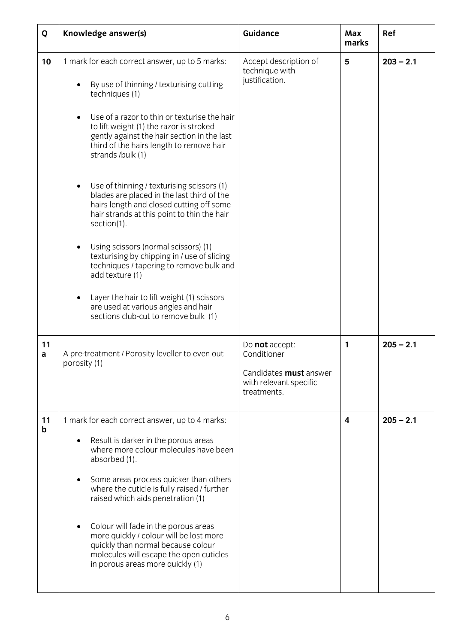| Q                 | Knowledge answer(s)                                                                                                                                                                                                                                                                                                                                                                                                                                                                                                                                                                                                                                                                                                                                                                                                           | <b>Guidance</b>                                                                                         | Max<br>marks | Ref         |
|-------------------|-------------------------------------------------------------------------------------------------------------------------------------------------------------------------------------------------------------------------------------------------------------------------------------------------------------------------------------------------------------------------------------------------------------------------------------------------------------------------------------------------------------------------------------------------------------------------------------------------------------------------------------------------------------------------------------------------------------------------------------------------------------------------------------------------------------------------------|---------------------------------------------------------------------------------------------------------|--------------|-------------|
| 10                | 1 mark for each correct answer, up to 5 marks:<br>By use of thinning / texturising cutting<br>techniques (1)<br>Use of a razor to thin or texturise the hair<br>$\bullet$<br>to lift weight (1) the razor is stroked<br>gently against the hair section in the last<br>third of the hairs length to remove hair<br>strands /bulk (1)<br>Use of thinning / texturising scissors (1)<br>blades are placed in the last third of the<br>hairs length and closed cutting off some<br>hair strands at this point to thin the hair<br>section(1).<br>Using scissors (normal scissors) (1)<br>texturising by chipping in / use of slicing<br>techniques / tapering to remove bulk and<br>add texture (1)<br>Layer the hair to lift weight (1) scissors<br>are used at various angles and hair<br>sections club-cut to remove bulk (1) | Accept description of<br>technique with<br>justification.                                               | 5            | $203 - 2.1$ |
| 11<br>a           | A pre-treatment / Porosity leveller to even out<br>porosity (1)                                                                                                                                                                                                                                                                                                                                                                                                                                                                                                                                                                                                                                                                                                                                                               | Do not accept:<br>Conditioner<br>Candidates <b>must</b> answer<br>with relevant specific<br>treatments. | 1            | $205 - 2.1$ |
| 11<br>$\mathsf b$ | 1 mark for each correct answer, up to 4 marks:<br>Result is darker in the porous areas<br>where more colour molecules have been<br>absorbed (1).<br>Some areas process quicker than others<br>٠<br>where the cuticle is fully raised / further<br>raised which aids penetration (1)<br>Colour will fade in the porous areas<br>more quickly / colour will be lost more<br>quickly than normal because colour<br>molecules will escape the open cuticles<br>in porous areas more quickly (1)                                                                                                                                                                                                                                                                                                                                   |                                                                                                         | 4            | $205 - 2.1$ |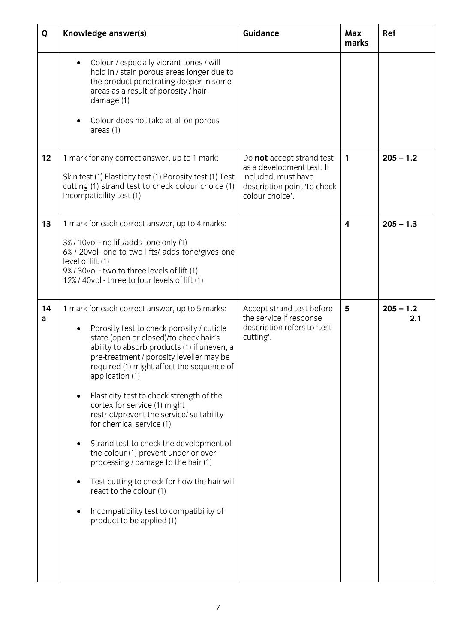| Q       | Knowledge answer(s)                                                                                                                                                                                                                                                                                                                                                                                                                                                                                                                                                                                                                                                                                                                              | <b>Guidance</b>                                                                                                                 | Max<br>marks | Ref                |
|---------|--------------------------------------------------------------------------------------------------------------------------------------------------------------------------------------------------------------------------------------------------------------------------------------------------------------------------------------------------------------------------------------------------------------------------------------------------------------------------------------------------------------------------------------------------------------------------------------------------------------------------------------------------------------------------------------------------------------------------------------------------|---------------------------------------------------------------------------------------------------------------------------------|--------------|--------------------|
|         | Colour / especially vibrant tones / will<br>$\bullet$<br>hold in / stain porous areas longer due to<br>the product penetrating deeper in some<br>areas as a result of porosity / hair<br>damage (1)<br>Colour does not take at all on porous<br>area <sub>5</sub> (1)                                                                                                                                                                                                                                                                                                                                                                                                                                                                            |                                                                                                                                 |              |                    |
| 12      | 1 mark for any correct answer, up to 1 mark:<br>Skin test (1) Elasticity test (1) Porosity test (1) Test<br>cutting (1) strand test to check colour choice (1)<br>Incompatibility test (1)                                                                                                                                                                                                                                                                                                                                                                                                                                                                                                                                                       | Do not accept strand test<br>as a development test. If<br>included, must have<br>description point 'to check<br>colour choice'. | 1            | $205 - 1.2$        |
| 13      | 1 mark for each correct answer, up to 4 marks:<br>3% / 10vol - no lift/adds tone only (1)<br>6% / 20vol- one to two lifts/ adds tone/gives one<br>level of lift (1)<br>9% / 30vol - two to three levels of lift (1)<br>12% / 40vol - three to four levels of lift (1)                                                                                                                                                                                                                                                                                                                                                                                                                                                                            |                                                                                                                                 | 4            | $205 - 1.3$        |
| 14<br>a | 1 mark for each correct answer, up to 5 marks:<br>Porosity test to check porosity / cuticle<br>$\bullet$<br>state (open or closed)/to check hair's<br>ability to absorb products (1) if uneven, a<br>pre-treatment / porosity leveller may be<br>required (1) might affect the sequence of<br>application (1)<br>Elasticity test to check strength of the<br>cortex for service (1) might<br>restrict/prevent the service/ suitability<br>for chemical service (1)<br>Strand test to check the development of<br>the colour (1) prevent under or over-<br>processing / damage to the hair (1)<br>Test cutting to check for how the hair will<br>react to the colour (1)<br>Incompatibility test to compatibility of<br>product to be applied (1) | Accept strand test before<br>the service if response<br>description refers to 'test<br>cutting'.                                | 5            | $205 - 1.2$<br>2.1 |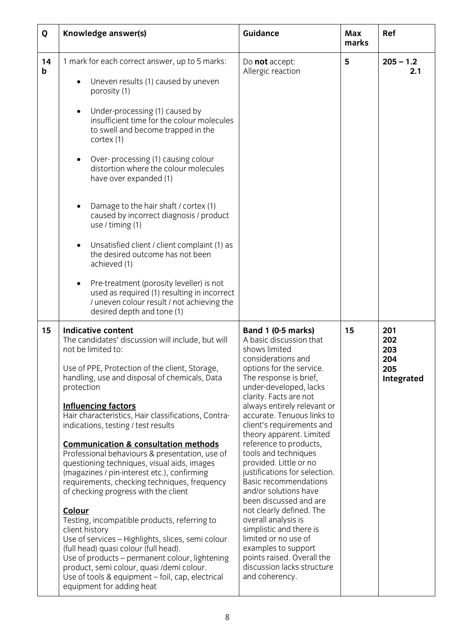| Q       | Knowledge answer(s)                                                                                                                                                                                                                                                                                                                                                                                                                                                                                                                                                                                                                                                                                                                                                                                                                                                                                                                                                                                    | <b>Guidance</b>                                                                                                                                                                                                                                                                                                                                                                                                                                                                                                                                                                                                                                                                                                                 | Max<br>marks | Ref                                           |
|---------|--------------------------------------------------------------------------------------------------------------------------------------------------------------------------------------------------------------------------------------------------------------------------------------------------------------------------------------------------------------------------------------------------------------------------------------------------------------------------------------------------------------------------------------------------------------------------------------------------------------------------------------------------------------------------------------------------------------------------------------------------------------------------------------------------------------------------------------------------------------------------------------------------------------------------------------------------------------------------------------------------------|---------------------------------------------------------------------------------------------------------------------------------------------------------------------------------------------------------------------------------------------------------------------------------------------------------------------------------------------------------------------------------------------------------------------------------------------------------------------------------------------------------------------------------------------------------------------------------------------------------------------------------------------------------------------------------------------------------------------------------|--------------|-----------------------------------------------|
| 14<br>b | 1 mark for each correct answer, up to 5 marks:<br>Uneven results (1) caused by uneven<br>porosity (1)<br>Under-processing (1) caused by<br>$\bullet$<br>insufficient time for the colour molecules<br>to swell and become trapped in the<br>cortex (1)<br>Over-processing (1) causing colour<br>$\bullet$<br>distortion where the colour molecules<br>have over expanded (1)<br>Damage to the hair shaft / cortex (1)<br>caused by incorrect diagnosis / product<br>use / timing $(1)$<br>Unsatisfied client / client complaint (1) as<br>$\bullet$<br>the desired outcome has not been<br>achieved (1)<br>Pre-treatment (porosity leveller) is not<br>$\bullet$<br>used as required (1) resulting in incorrect<br>/ uneven colour result / not achieving the<br>desired depth and tone (1)                                                                                                                                                                                                            | Do not accept:<br>Allergic reaction                                                                                                                                                                                                                                                                                                                                                                                                                                                                                                                                                                                                                                                                                             | 5            | $205 - 1.2$<br>2.1                            |
| 15      | <b>Indicative content</b><br>The candidates' discussion will include, but will<br>not be limited to:<br>Use of PPE, Protection of the client, Storage,<br>handling, use and disposal of chemicals, Data<br>protection<br><b>Influencing factors</b><br>Hair characteristics, Hair classifications, Contra-<br>indications, testing / test results<br><b>Communication &amp; consultation methods</b><br>Professional behaviours & presentation, use of<br>questioning techniques, visual aids, images<br>(magazines / pin-interest etc.), confirming<br>requirements, checking techniques, frequency<br>of checking progress with the client<br>Colour<br>Testing, incompatible products, referring to<br>client history<br>Use of services - Highlights, slices, semi colour<br>(full head) quasi colour (full head).<br>Use of products – permanent colour, lightening<br>product, semi colour, quasi /demi colour.<br>Use of tools & equipment - foil, cap, electrical<br>equipment for adding heat | Band 1 (0-5 marks)<br>A basic discussion that<br>shows limited<br>considerations and<br>options for the service.<br>The response is brief,<br>under-developed, lacks<br>clarity. Facts are not<br>always entirely relevant or<br>accurate. Tenuous links to<br>client's requirements and<br>theory apparent. Limited<br>reference to products,<br>tools and techniques<br>provided. Little or no<br>justifications for selection.<br><b>Basic recommendations</b><br>and/or solutions have<br>been discussed and are<br>not clearly defined. The<br>overall analysis is<br>simplistic and there is<br>limited or no use of<br>examples to support<br>points raised. Overall the<br>discussion lacks structure<br>and coherency. | 15           | 201<br>202<br>203<br>204<br>205<br>Integrated |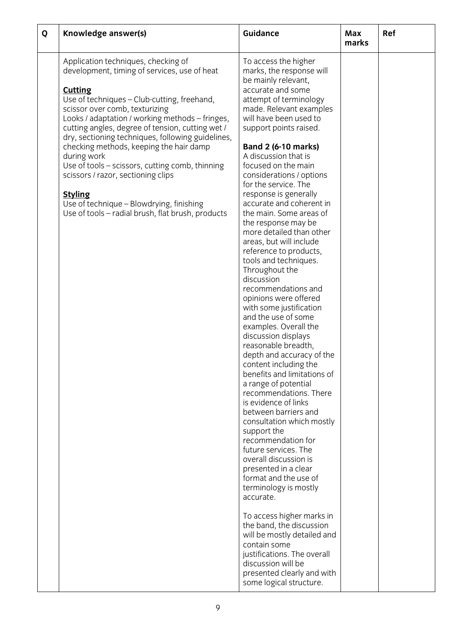| Q | Knowledge answer(s)                                                                                                                                                                                                                                                                                                                                                                                                                                                                                                                                                                                                      | <b>Guidance</b>                                                                                                                                                                                                                                                                                                                                                                                                                                                                                                                                                                                                                                                                                                                                                                                                                                                                                                                                                                                                                                                                                                                                                                                                                                                                                                                                                                         | Max<br>marks | Ref |
|---|--------------------------------------------------------------------------------------------------------------------------------------------------------------------------------------------------------------------------------------------------------------------------------------------------------------------------------------------------------------------------------------------------------------------------------------------------------------------------------------------------------------------------------------------------------------------------------------------------------------------------|-----------------------------------------------------------------------------------------------------------------------------------------------------------------------------------------------------------------------------------------------------------------------------------------------------------------------------------------------------------------------------------------------------------------------------------------------------------------------------------------------------------------------------------------------------------------------------------------------------------------------------------------------------------------------------------------------------------------------------------------------------------------------------------------------------------------------------------------------------------------------------------------------------------------------------------------------------------------------------------------------------------------------------------------------------------------------------------------------------------------------------------------------------------------------------------------------------------------------------------------------------------------------------------------------------------------------------------------------------------------------------------------|--------------|-----|
|   | Application techniques, checking of<br>development, timing of services, use of heat<br><b>Cutting</b><br>Use of techniques - Club-cutting, freehand,<br>scissor over comb, texturizing<br>Looks / adaptation / working methods - fringes,<br>cutting angles, degree of tension, cutting wet /<br>dry, sectioning techniques, following guidelines,<br>checking methods, keeping the hair damp<br>during work<br>Use of tools - scissors, cutting comb, thinning<br>scissors / razor, sectioning clips<br><b>Styling</b><br>Use of technique - Blowdrying, finishing<br>Use of tools – radial brush, flat brush, products | To access the higher<br>marks, the response will<br>be mainly relevant,<br>accurate and some<br>attempt of terminology<br>made. Relevant examples<br>will have been used to<br>support points raised.<br><b>Band 2 (6-10 marks)</b><br>A discussion that is<br>focused on the main<br>considerations / options<br>for the service. The<br>response is generally<br>accurate and coherent in<br>the main. Some areas of<br>the response may be<br>more detailed than other<br>areas, but will include<br>reference to products,<br>tools and techniques.<br>Throughout the<br>discussion<br>recommendations and<br>opinions were offered<br>with some justification<br>and the use of some<br>examples. Overall the<br>discussion displays<br>reasonable breadth,<br>depth and accuracy of the<br>content including the<br>benefits and limitations of<br>a range of potential<br>recommendations. There<br>is evidence of links<br>between barriers and<br>consultation which mostly<br>support the<br>recommendation for<br>future services. The<br>overall discussion is<br>presented in a clear<br>format and the use of<br>terminology is mostly<br>accurate.<br>To access higher marks in<br>the band, the discussion<br>will be mostly detailed and<br>contain some<br>justifications. The overall<br>discussion will be<br>presented clearly and with<br>some logical structure. |              |     |